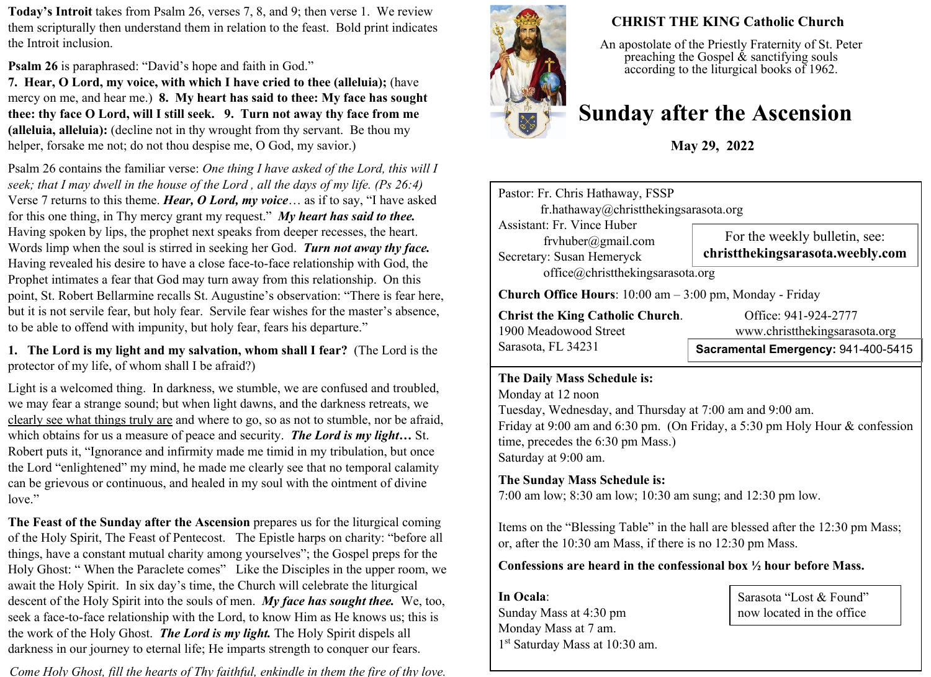**Today's Introit** takes from Psalm 26, verses 7, 8, and 9; then verse 1. We review them scripturally then understand them in relation to the feast. Bold print indicates the Introit inclusion.

**Psalm 26** is paraphrased: "David's hope and faith in God."

**7. Hear, O Lord, my voice, with which I have cried to thee (alleluia);** (have mercy on me, and hear me.) **8. My heart has said to thee: My face has sought thee: thy face O Lord, will I still seek. 9. Turn not away thy face from me (alleluia, alleluia):** (decline not in thy wrought from thy servant. Be thou my helper, forsake me not; do not thou despise me, O God, my savior.)

Psalm 26 contains the familiar verse: *One thing I have asked of the Lord, this will I seek; that I may dwell in the house of the Lord , all the days of my life. (Ps 26:4)* Verse 7 returns to this theme. *Hear, O Lord, my voice*… as if to say, "I have asked for this one thing, in Thy mercy grant my request." *My heart has said to thee.* Having spoken by lips, the prophet next speaks from deeper recesses, the heart. Words limp when the soul is stirred in seeking her God. *Turn not away thy face.* Having revealed his desire to have a close face-to-face relationship with God, the Prophet intimates a fear that God may turn away from this relationship. On this point, St. Robert Bellarmine recalls St. Augustine's observation: "There is fear here, but it is not servile fear, but holy fear. Servile fear wishes for the master's absence, to be able to offend with impunity, but holy fear, fears his departure."

**1. The Lord is my light and my salvation, whom shall I fear?** (The Lord is the protector of my life, of whom shall I be afraid?)

Light is a welcomed thing. In darkness, we stumble, we are confused and troubled, we may fear a strange sound; but when light dawns, and the darkness retreats, we clearly see what things truly are and where to go, so as not to stumble, nor be afraid, which obtains for us a measure of peace and security. *The Lord is my light…* St. Robert puts it, "Ignorance and infirmity made me timid in my tribulation, but once the Lord "enlightened" my mind, he made me clearly see that no temporal calamity can be grievous or continuous, and healed in my soul with the ointment of divine love."

**The Feast of the Sunday after the Ascension** prepares us for the liturgical coming of the Holy Spirit, The Feast of Pentecost. The Epistle harps on charity: "before all things, have a constant mutual charity among yourselves"; the Gospel preps for the Holy Ghost: " When the Paraclete comes" Like the Disciples in the upper room, we await the Holy Spirit. In six day's time, the Church will celebrate the liturgical descent of the Holy Spirit into the souls of men. *My face has sought thee.* We, too, seek a face-to-face relationship with the Lord, to know Him as He knows us; this is the work of the Holy Ghost. *The Lord is my light.* The Holy Spirit dispels all darkness in our journey to eternal life; He imparts strength to conquer our fears.

*Come Holy Ghost, fill the hearts of Thy faithful, enkindle in them the fire of thy love.* 



# **CHRIST THE KING Catholic Church**

An apostolate of the Priestly Fraternity of St. Peter preaching the Gospel  $\&$  sanctifying souls according to the liturgical books of 1962.

# **Sunday after the Ascension**

**May 29, 2022**

Pastor: Fr. Chris Hathaway, FSSP fr.hathaway@christthekingsarasota.org Assistant: Fr. Vince Huber frvhuber@gmail.com Secretary: Susan Hemeryck office@christthekingsarasota.org **Church Office Hours**: 10:00 am – 3:00 pm, Monday - Friday **Christ the King Catholic Church.** Office: 941-924-2777 1900 Meadowood Street www.christthekingsarasota.org Sarasota, FL 34231 **Sacramental Emergency:** 941-400-5415 For the weekly bulletin, see: **christthekingsarasota.weebly.com**

### **The Daily Mass Schedule is:**

Monday at 12 noon Tuesday, Wednesday, and Thursday at 7:00 am and 9:00 am. Friday at 9:00 am and 6:30 pm. (On Friday, a 5:30 pm Holy Hour & confession time, precedes the 6:30 pm Mass.) Saturday at 9:00 am.

# **The Sunday Mass Schedule is:**

7:00 am low; 8:30 am low; 10:30 am sung; and 12:30 pm low.

Items on the "Blessing Table" in the hall are blessed after the 12:30 pm Mass; or, after the 10:30 am Mass, if there is no 12:30 pm Mass.

**Confessions are heard in the confessional box ½ hour before Mass.** 

**In Ocala**: Sunday Mass at 4:30 pm Monday Mass at 7 am. 1 st Saturday Mass at 10:30 am.

Sarasota "Lost & Found" now located in the office